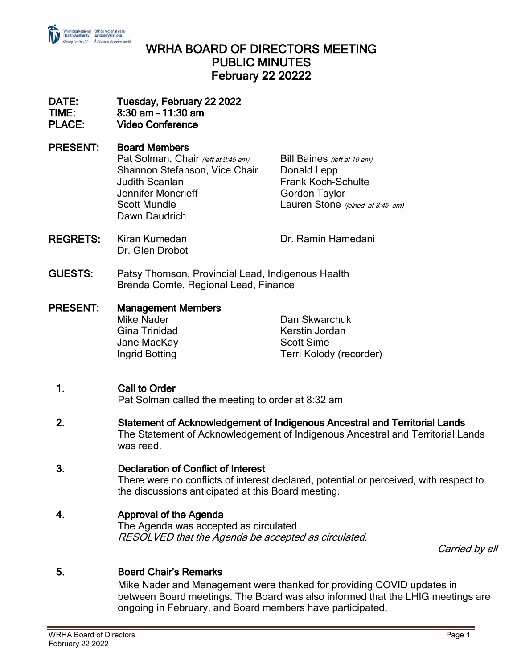

## WRHA BOARD OF DIRECTORS MEETING PUBLIC MINUTES February 22 20222

# DATE: Tuesday, February 22 2022 TIME: 8:30 am – 11:30 am

### PLACE: Video Conference

# PRESENT: Board Members

| Pat Solman, Chair (left at 9:45 am) |                               | Bill Baines (left at 10 am)      |
|-------------------------------------|-------------------------------|----------------------------------|
|                                     | Shannon Stefanson, Vice Chair | Donald Lepp                      |
| Judith Scanlan                      |                               | <b>Frank Koch-Schulte</b>        |
| Jennifer Moncrieff                  |                               | <b>Gordon Taylor</b>             |
| <b>Scott Mundle</b>                 |                               | Lauren Stone (joined at 8:45 am) |
| Dawn Daudrich                       |                               |                                  |
|                                     |                               |                                  |

- REGRETS: Kiran Kumedan Dr. Ramin Hamedani Dr. Glen Drobot
- GUESTS: Patsy Thomson, Provincial Lead, Indigenous Health Brenda Comte, Regional Lead, Finance

### PRESENT: Management Members Mike Nader Dan Skwarchuk Gina Trinidad Kerstin Jordan Jane MacKay **Scott Sime**

Ingrid Botting Terri Kolody (recorder)

## 1. Call to Order

Pat Solman called the meeting to order at 8:32 am

2. Statement of Acknowledgement of Indigenous Ancestral and Territorial Lands The Statement of Acknowledgement of Indigenous Ancestral and Territorial Lands was read.

### 3. Declaration of Conflict of Interest

There were no conflicts of interest declared, potential or perceived, with respect to the discussions anticipated at this Board meeting.

## 4. Approval of the Agenda

The Agenda was accepted as circulated RESOLVED that the Agenda be accepted as circulated.

Carried by all

## 5. Board Chair's Remarks

Mike Nader and Management were thanked for providing COVID updates in between Board meetings. The Board was also informed that the LHIG meetings are ongoing in February, and Board members have participated.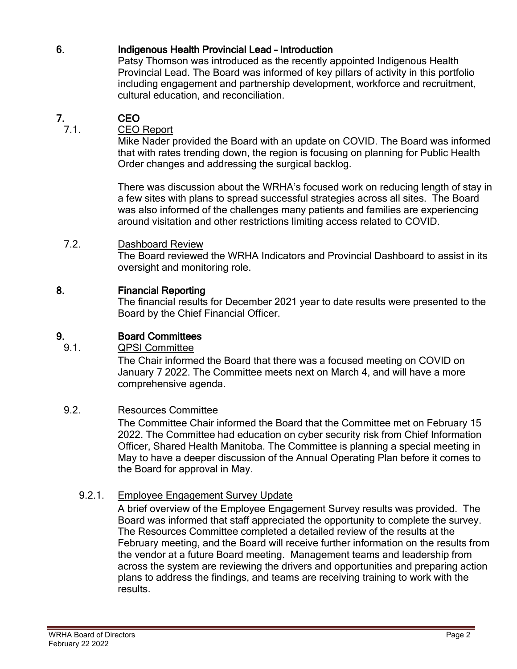## 6. Indigenous Health Provincial Lead – Introduction

Patsy Thomson was introduced as the recently appointed Indigenous Health Provincial Lead. The Board was informed of key pillars of activity in this portfolio including engagement and partnership development, workforce and recruitment, cultural education, and reconciliation.

# **7. CEO**<br>71 **CEO**

### CEO Report

Mike Nader provided the Board with an update on COVID. The Board was informed that with rates trending down, the region is focusing on planning for Public Health Order changes and addressing the surgical backlog.

There was discussion about the WRHA's focused work on reducing length of stay in a few sites with plans to spread successful strategies across all sites. The Board was also informed of the challenges many patients and families are experiencing around visitation and other restrictions limiting access related to COVID.

### 7.2. Dashboard Review

The Board reviewed the WRHA Indicators and Provincial Dashboard to assist in its oversight and monitoring role.

### 8. Financial Reporting

The financial results for December 2021 year to date results were presented to the Board by the Chief Financial Officer.

### 9. Board Committees

#### 9.1. QPSI Committee

The Chair informed the Board that there was a focused meeting on COVID on January 7 2022. The Committee meets next on March 4, and will have a more comprehensive agenda.

### 9.2. Resources Committee

The Committee Chair informed the Board that the Committee met on February 15 2022. The Committee had education on cyber security risk from Chief Information Officer, Shared Health Manitoba. The Committee is planning a special meeting in May to have a deeper discussion of the Annual Operating Plan before it comes to the Board for approval in May.

### 9.2.1. Employee Engagement Survey Update

A brief overview of the Employee Engagement Survey results was provided. The Board was informed that staff appreciated the opportunity to complete the survey. The Resources Committee completed a detailed review of the results at the February meeting, and the Board will receive further information on the results from the vendor at a future Board meeting. Management teams and leadership from across the system are reviewing the drivers and opportunities and preparing action plans to address the findings, and teams are receiving training to work with the results.